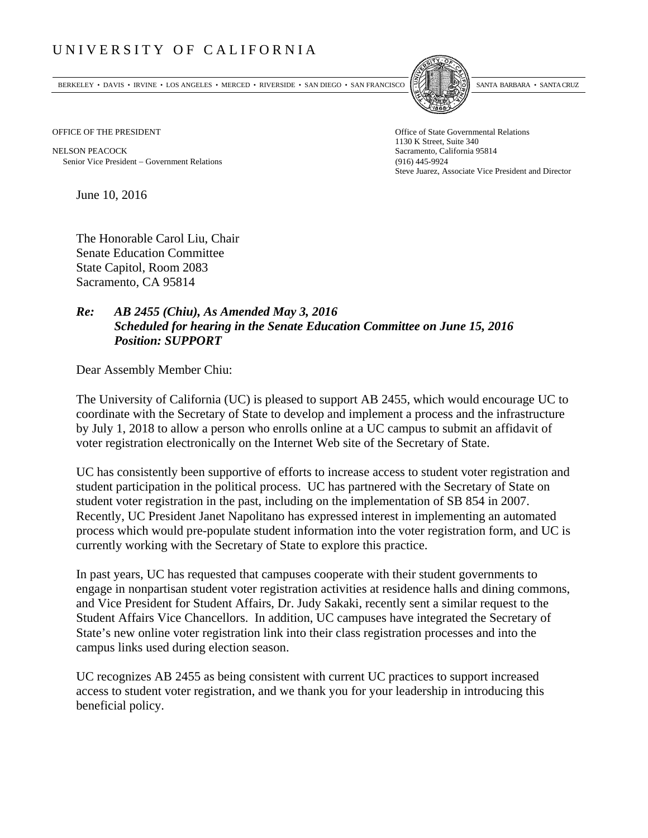## UNIVERSITY OF CALIFORNIA

BERKELEY • DAVIS • IRVINE • LOS ANGELES • MERCED • RIVERSIDE • SAN DIEGO • SAN FRANCISCO SANTA BARBARA • SANTA CRUZ



1130 K Street, Suite 340 Steve Juarez, Associate Vice President and Director

OFFICE OF THE PRESIDENT STATES OF THE PRESIDENT

NELSON PEACOCK Sacramento, California 95814 Senior Vice President Government Relations (916) 445-9924

June 10, 2016

The Honorable Carol Liu, Chair Senate Education Committee State Capitol, Room 2083 Sacramento, CA 95814

## *Re: AB 2455 (Chiu), As Amended May 3, 2016 Scheduled for hearing in the Senate Education Committee on June 15, 2016 Position: SUPPORT*

Dear Assembly Member Chiu:

The University of California (UC) is pleased to support AB 2455, which would encourage UC to coordinate with the Secretary of State to develop and implement a process and the infrastructure by July 1, 2018 to allow a person who enrolls online at a UC campus to submit an affidavit of voter registration electronically on the Internet Web site of the Secretary of State.

UC has consistently been supportive of efforts to increase access to student voter registration and student participation in the political process. UC has partnered with the Secretary of State on student voter registration in the past, including on the implementation of SB 854 in 2007. Recently, UC President Janet Napolitano has expressed interest in implementing an automated process which would pre-populate student information into the voter registration form, and UC is currently working with the Secretary of State to explore this practice.

In past years, UC has requested that campuses cooperate with their student governments to engage in nonpartisan student voter registration activities at residence halls and dining commons, and Vice President for Student Affairs, Dr. Judy Sakaki, recently sent a similar request to the Student Affairs Vice Chancellors. In addition, UC campuses have integrated the Secretary of State's new online voter registration link into their class registration processes and into the campus links used during election season.

UC recognizes AB 2455 as being consistent with current UC practices to support increased access to student voter registration, and we thank you for your leadership in introducing this beneficial policy.